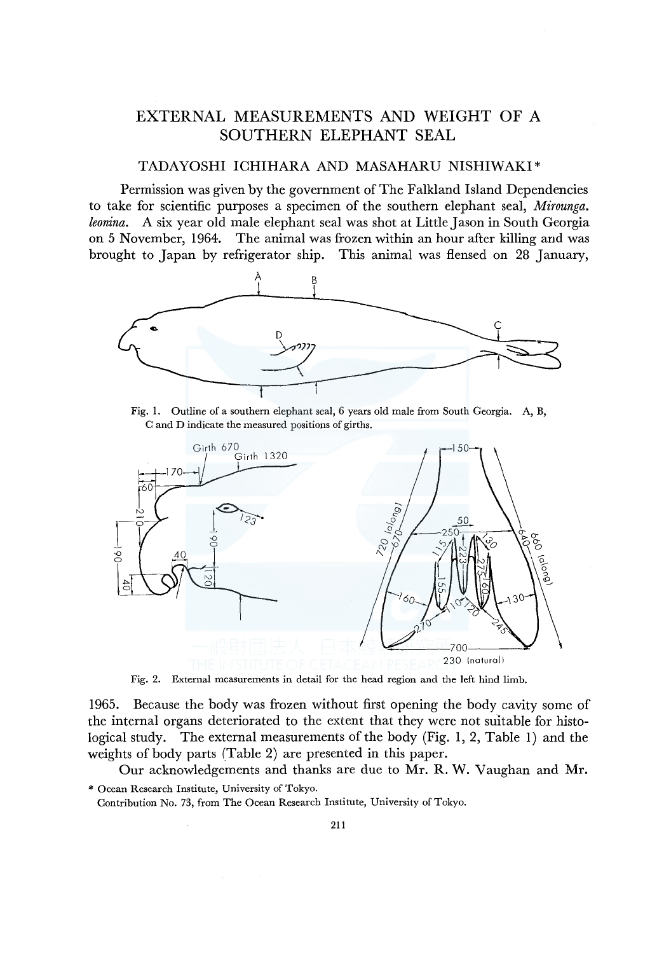# EXTERNAL MEASUREMENTS AND WEIGHT OF A SOUTHERN ELEPHANT SEAL

### TADAYOSHI ICHIHARA AND MASAHARU NISHIWAKI\*

Permission was given by the government of The Falkland Island Dependencies to take for scientific purposes a specimen of the southern elephant seal, *Mirounga. leonina.* A six year old male elephant seal was shot at Little Jason in South Georgia on 5 November, 1964. The animal was frozen within an hour after killing and was brought to Japan by refrigerator ship. This animal was £lensed on 28 January,



Fig. 1. Outline of a southern elephant seal, 6 years old male from South Georgia. A, B, C and D indicate the measured positions of girths.



Fig. 2. External measurements in detail for the head region and the left hind limb.

1965. Because the body was frozen without first opening the body cavity some of the internal organs deteriorated to the extent that they were not suitable for histological study. The external measurements of the body (Fig. 1, 2, Table 1) and the weights of body parts (Table 2) are presented in this paper.

Our acknowledgements and thanks are due to Mr. R. W. Vaughan and Mr. \* Ocean Research Institute, University of Tokyo.

Contribution No. 73, from The Ocean Research Institute, University of Tokyo.